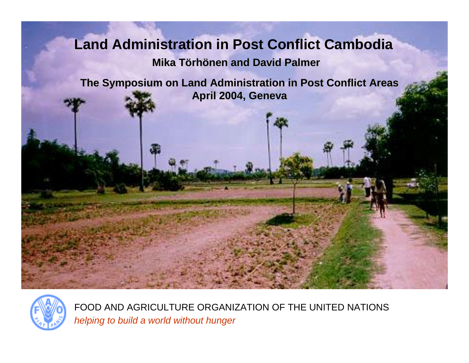#### **Land Administration in Post Conflict Cambodia**

#### **Mika Törhönen and David Palmer**

**The Symposium on Land Administration in Post Conflict Areas April 2004, Geneva**



FOOD AND AGRICULTURE ORGANIZATION OF THE UNITED NATIONS *helping to build a world without hunger*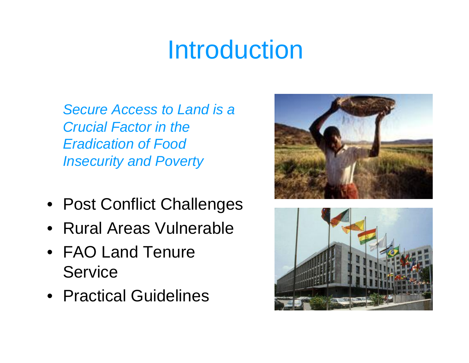# Introduction

*Secure Access to Land is a Crucial Factor in the Eradication of Food Insecurity and Poverty*

- Post Conflict Challenges
- Rural Areas Vulnerable
- FAO Land Tenure **Service**
- Practical Guidelines



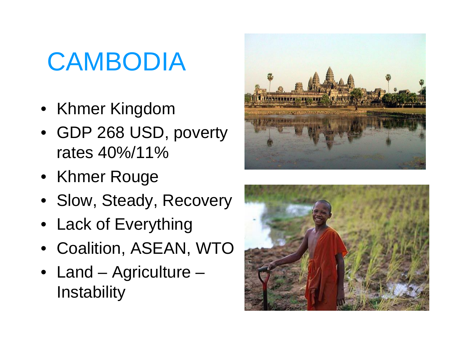# **CAMBODIA**

- Khmer Kingdom
- GDP 268 USD, poverty rates 40%/11%
- Khmer Rouge
- Slow, Steady, Recovery
- Lack of Everything
- Coalition, ASEAN, WTO
- Land Agriculture **Instability**



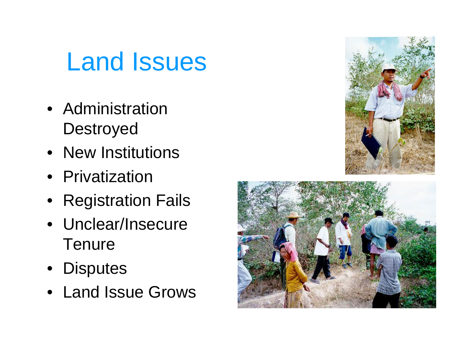### Land Issues

- Administration **Destroyed**
- New Institutions
- Privatization
- Registration Fails
- Unclear/Insecure **Tenure**
- Disputes
- Land Issue Grows



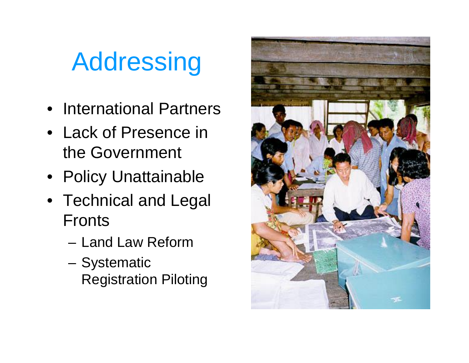# Addressing

- International Partners
- Lack of Presence in the Government
- Policy Unattainable
- Technical and Legal Fronts
	- Land Law Reform
	- Systematic Registration Piloting

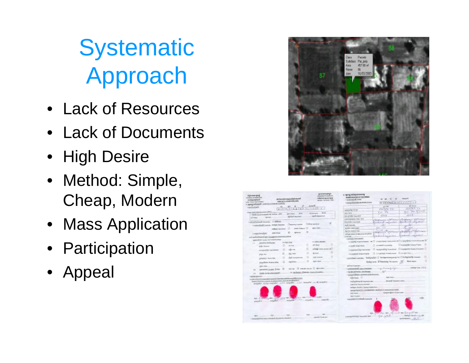**Systematic** Approach

- Lack of Resources
- Lack of Documents
- High Desire
- Method: Simple, Cheap, Modern
- Mass Application
- Participation
- Appeal



| <b><i><u><i><u><b>Determinations</b></u></i></u></i></b><br><b>MALOFAMISTERS</b><br><b>Surfanjan</b><br>Ginald Danketweek<br><b>CONTRACTORS INTERNATIONAL</b><br><b>Andrew Corporation</b> | dróiarsalana pisségéssemé.<br>LANGUATILOGICALISTICS.COMPA<br>95.<br>$V_1 + 1016$ 014 $V_2 + 101$<br>$1.2 - 4$ | <b>ALLIAN MILLION COLL</b><br><b>EXECUTAR OF CAUDITIES</b><br>rulanamisinyeistriö<br>acide Student year. | a revolutional control<br>occurs most base of 1-8 CANUS<br>valuable goods percent<br>4 month and starting law mones at them. | Artistinational Control<br>poli due<br>102352 WW              | <b>Lacred</b><br>abi dunan<br>194733 11                         |
|--------------------------------------------------------------------------------------------------------------------------------------------------------------------------------------------|---------------------------------------------------------------------------------------------------------------|----------------------------------------------------------------------------------------------------------|------------------------------------------------------------------------------------------------------------------------------|---------------------------------------------------------------|-----------------------------------------------------------------|
| the panel interests commit in PPER L.                                                                                                                                                      |                                                                                                               | di Garcegon,  Senta                                                                                      | representative facts                                                                                                         | Kell, Wa                                                      | <b>CONTRACTOR</b>                                               |
| c databate at the about the problem, which                                                                                                                                                 | met Gears  Grove<br>allabel required                                                                          | seed manager.                                                                                            | age: note<br>is to strike its counter.                                                                                       | ATA K                                                         | 425.2                                                           |
| <b>Families</b><br>pinke.                                                                                                                                                                  |                                                                                                               |                                                                                                          | preventionable (Owner 1991)                                                                                                  |                                                               | STRAKERS AT THE                                                 |
| attrafficingal manner, 11 pilots                                                                                                                                                           |                                                                                                               |                                                                                                          | Adulate rosamo                                                                                                               | britant unanimi                                               | the Rockwall well -                                             |
| represional casual, mega basear. Carpens naves   Delegazione                                                                                                                               |                                                                                                               |                                                                                                          | and more.                                                                                                                    | 20                                                            | w                                                               |
|                                                                                                                                                                                            | . and Valent U<br>subjections (C)                                                                             | plates videos)                                                                                           | <b>SUZEN LEWANGARE</b>                                                                                                       | <b>Bank College</b>                                           | 5.31                                                            |
| <b>MAN PRIME</b>                                                                                                                                                                           |                                                                                                               | п                                                                                                        | GOVERNMENT PARK                                                                                                              | And St. Ingh<br><b>WESTERN</b><br><b>PERMIT AVENUE</b>        | and the control of the commer                                   |
| Legendersheet                                                                                                                                                                              |                                                                                                               |                                                                                                          | relogicazione il abentto di estima-                                                                                          | <b>Scholarshare</b> way fast                                  | <b>Districts &amp; County Atlantic</b>                          |
| ETWORMANAHOTIET CHANNEL CONTINUES AND                                                                                                                                                      |                                                                                                               |                                                                                                          | as finds furnity.<br>1 DOSE PAZZRA                                                                                           |                                                               |                                                                 |
| <b>General Mills of Lincolny - Concernment automaker</b><br>please to making set.                                                                                                          | 44.9pp   Red                                                                                                  | <b>43-680, Ministr</b>                                                                                   |                                                                                                                              |                                                               | а садифициальное не C поможно смислик м Changelpro-кашинские Of |
| $\frac{1}{2}$                                                                                                                                                                              | o<br><b>FOLD FOR</b>                                                                                          | α<br>off, Want                                                                                           | LA CASA E MARTINHO                                                                                                           | T massed convert:                                             | [] is popular countries<br>- 11                                 |
| plate times                                                                                                                                                                                | o<br>affici tra                                                                                               | allage case assets sol.                                                                                  |                                                                                                                              |                                                               | П заружения населен. Сперентильно изменен О                     |
| perspective connect                                                                                                                                                                        |                                                                                                               |                                                                                                          | interpreneticial Valviolate                                                                                                  |                                                               |                                                                 |
| prints (that                                                                                                                                                                               | E<br>(03) 14644                                                                                               | D<br>All clouds                                                                                          | 210 ESDOR HOWAITMEN                                                                                                          | CL in several most more. If similarities                      |                                                                 |
| principles down in the                                                                                                                                                                     | Ð<br><b>Jolly Notipide Ide</b>                                                                                | ū<br>$\Box$<br><b>Index Avenue</b>                                                                       | retating to some. Interprete Cl. Sockerman property of Climbal and present                                                   |                                                               | $\Box$                                                          |
| Who want teaching                                                                                                                                                                          | o<br><b><i>ESTACLE</i></b>                                                                                    | α<br><b>CONTRACT</b>                                                                                     |                                                                                                                              | looker w.m. In Deputy of Commerce  (2)  Show many             | o                                                               |
| <b><i>ISSN TRWT</i></b>                                                                                                                                                                    |                                                                                                               |                                                                                                          | selvas nigueigo                                                                                                              |                                                               |                                                                 |
| ally por  L.R. entered concent. L.T. Agriculture<br>personal control firms G<br>$-14$                                                                                                      |                                                                                                               |                                                                                                          | s padsepoint@ Seeculations                                                                                                   | is all refers developed                                       | stadium Kost, 272 E.                                            |
| a in regularizza all'Antonio i tuolo e instanziato.<br><b>Comp counter of member 27</b><br>5.51                                                                                            |                                                                                                               |                                                                                                          | 1 ISLZE-JAD BASK JANIFICARE                                                                                                  |                                                               |                                                                 |
| <b><i>FIRME ENTITY</i></b>                                                                                                                                                                 |                                                                                                               |                                                                                                          | Lapscraft@ask.capbbook.it.tv somme                                                                                           |                                                               |                                                                 |
| a sale information appeals to provide the secondary contents of the content<br>The announcement of the party of the American State of the American State of the American                   | according a Sat complex, and it wouldn't a contrast of the second of                                          |                                                                                                          | ofainag. O<br>melodistrated requests one<br><b>HATCHER WAS CITATIONS</b><br>asthed on Thursday at Federal Association of     | <b>SIDE SAVA</b><br>apoial topogramme.                        |                                                                 |
| REL. 2 LOVETS, MN. 45701, CALL MA. 6                                                                                                                                                       |                                                                                                               | LEE or Well-Lincoln March Autor                                                                          | ADDRESS OF THE REPORTER LANSING IS SERVED FOR<br>are see<br>100 Pondal -                                                     | macravights i DOrt notre.                                     | $-25$                                                           |
| <b>Household</b><br>namato'.<br>$-149$                                                                                                                                                     | <b>PRESIDENT</b><br>ADDING !                                                                                  | associate.<br>message.<br><b>Jumps</b>                                                                   | Lexibal Visit Bank Charles 1<br>4.040 per control Chas Arter Miles                                                           | Mr. 2007 214, MR. 201-23-20 Mr. El a guilt Apr.<br>April 2004 | markets based a clock and                                       |
| 1. Grand Fire Entry House, COA GRAIN, Chrysler For Handlinks                                                                                                                               |                                                                                                               | panels Florida area                                                                                      |                                                                                                                              |                                                               | $-26.5$<br><b>SENIORISTIC</b>                                   |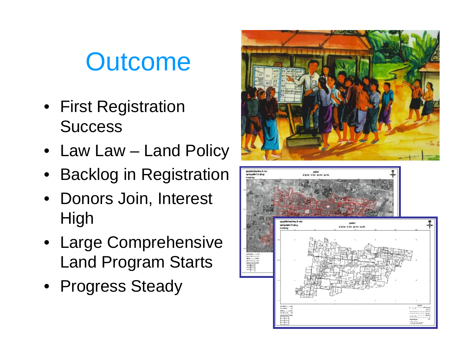## **Outcome**

- First Registration **Success**
- Law Law Land Policy
- Backlog in Registration
- Donors Join, Interest **High**
- Large Comprehensive Land Program Starts
- Progress Steady



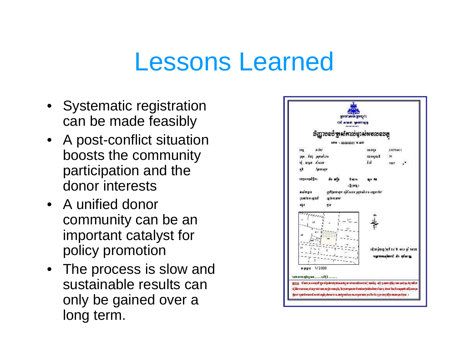#### Lessons Learned

- Systematic registration can be made feasibly
- A post-conflict situation boosts the community participation and the donor interests
- A unified donor community can be an important catalyst for policy promotion
- The process is slow and sustainable results can only be gained over a long term.